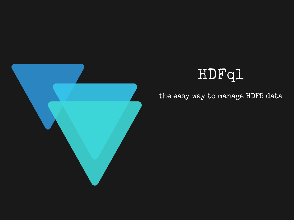

## HDFq1

the easy way to manage HDF5 data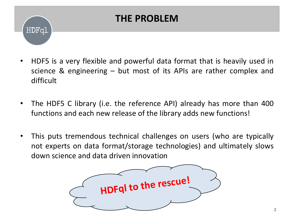# HDFal

#### **THE PROBLEM**

- HDF5 is a very flexible and powerful data format that is heavily used in science & engineering – but most of its APIs are rather complex and difficult
- The HDF5 C library (i.e. the reference API) already has more than 400 functions and each new release of the library adds new functions!
- This puts tremendous technical challenges on users (who are typically not experts on data format/storage technologies) and ultimately slows down science and data driven innovation

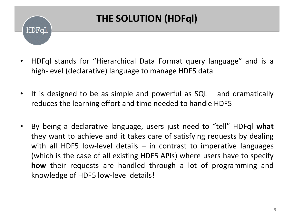# HDFal

### **THE SOLUTION (HDFql)**

- HDFql stands for "Hierarchical Data Format query language" and is a high-level (declarative) language to manage HDF5 data
- It is designed to be as simple and powerful as SQL and dramatically reduces the learning effort and time needed to handle HDF5
- By being a declarative language, users just need to "tell" HDFql **what** they want to achieve and it takes care of satisfying requests by dealing with all HDF5 low-level details  $-$  in contrast to imperative languages (which is the case of all existing HDF5 APIs) where users have to specify **how** their requests are handled through a lot of programming and knowledge of HDF5 low-level details!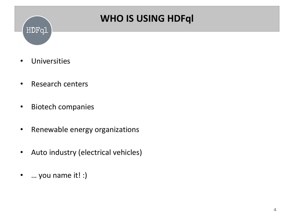

#### **WHO IS USING HDFql**

- Universities
- Research centers
- Biotech companies
- Renewable energy organizations
- Auto industry (electrical vehicles)
- … you name it! :)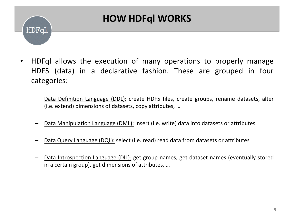# HDFq1

#### **HOW HDFql WORKS**

- HDFql allows the execution of many operations to properly manage HDF5 (data) in a declarative fashion. These are grouped in four categories:
	- Data Definition Language (DDL): create HDF5 files, create groups, rename datasets, alter (i.e. extend) dimensions of datasets, copy attributes, …
	- Data Manipulation Language (DML): insert (i.e. write) data into datasets or attributes
	- Data Query Language (DQL): select (i.e. read) read data from datasets or attributes
	- Data Introspection Language (DIL): get group names, get dataset names (eventually stored in a certain group), get dimensions of attributes, …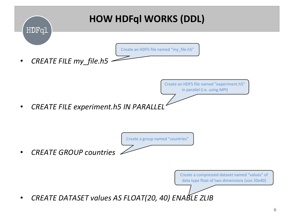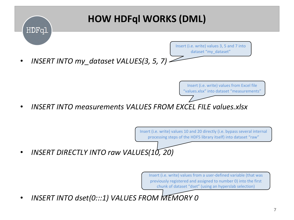

### **HOW HDFql WORKS (DML)**

• *INSERT INTO my\_dataset VALUES(3, 5, 7)*

Insert (i.e. write) values from Excel file "values.xlsx" into dataset "measurements"

Insert (i.e. write) values 3, 5 and 7 into dataset "my\_dataset"

• *INSERT INTO measurements VALUES FROM EXCEL FILE values.xlsx*

Insert (i.e. write) values 10 and 20 directly (i.e. bypass several internal processing steps of the HDF5 library itself) into dataset "raw"

• *INSERT DIRECTLY INTO raw VALUES(10, 20)*

Insert (i.e. write) values from a user-defined variable (that was previously registered and assigned to number 0) into the first chunk of dataset "dset" (using an hyperslab selection)

• *INSERT INTO dset(0:::1) VALUES FROM MEMORY 0*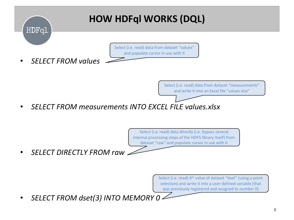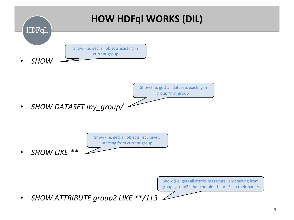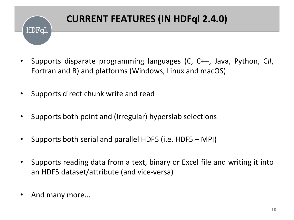

### **CURRENT FEATURES (IN HDFql 2.4.0)**

- Supports disparate programming languages (C, C++, Java, Python, C#, Fortran and R) and platforms (Windows, Linux and macOS)
- Supports direct chunk write and read
- Supports both point and (irregular) hyperslab selections
- Supports both serial and parallel HDF5 (i.e. HDF5 + MPI)
- Supports reading data from a text, binary or Excel file and writing it into an HDF5 dataset/attribute (and vice-versa)
- And many more...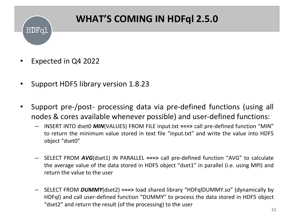#### **WHAT'S COMING IN HDFql 2.5.0**

• Expected in Q4 2022

HDFal

- Support HDF5 library version 1.8.23
- Support pre-/post- processing data via pre-defined functions (using all nodes & cores available whenever possible) and user-defined functions:
	- INSERT INTO dset0 *MIN*(VALUES) FROM FILE input.txt **===>** call pre-defined function "MIN" to return the minimum value stored in text file "input.txt" and write the value into HDF5 object "dset0"
	- SELECT FROM *AVG*(dset1) IN PARALLEL **===>** call pre-defined function "AVG" to calculate the average value of the data stored in HDF5 object "dset1" in parallel (i.e. using MPI) and return the value to the user
	- SELECT FROM *DUMMY*(dset2) **===>** load shared library "HDFqlDUMMY.so" (dynamically by HDFql) and call user-defined function "DUMMY" to process the data stored in HDF5 object "dset2" and return the result (of the processing) to the user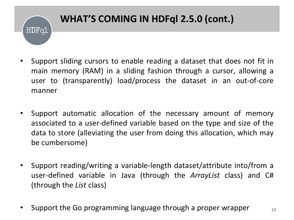### **WHAT'S COMING IN HDFql 2.5.0 (cont.)**HDFql

- Support sliding cursors to enable reading a dataset that does not fit in main memory (RAM) in a sliding fashion through a cursor, allowing a user to (transparently) load/process the dataset in an out-of-core manner
- Support automatic allocation of the necessary amount of memory associated to a user-defined variable based on the type and size of the data to store (alleviating the user from doing this allocation, which may be cumbersome)
- Support reading/writing a variable-length dataset/attribute into/from a user-defined variable in Java (through the *ArrayList* class) and C# (through the *List* class)
- Support the Go programming language through a proper wrapper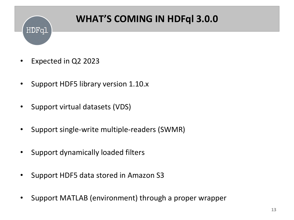# HDFql

### **WHAT'S COMING IN HDFql 3.0.0**

- Expected in Q2 2023
- Support HDF5 library version 1.10.x
- Support virtual datasets (VDS)
- Support single-write multiple-readers (SWMR)
- Support dynamically loaded filters
- Support HDF5 data stored in Amazon S3
- Support MATLAB (environment) through a proper wrapper